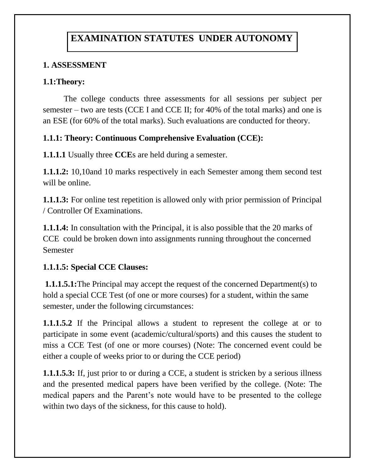# **EXAMINATION STATUTES UNDER AUTONOMY**

## **1. ASSESSMENT**

## **1.1:Theory:**

 The college conducts three assessments for all sessions per subject per semester – two are tests (CCE I and CCE II; for 40% of the total marks) and one is an ESE (for 60% of the total marks). Such evaluations are conducted for theory.

#### **1.1.1: Theory: Continuous Comprehensive Evaluation (CCE):**

**1.1.1.1** Usually three **CCE**s are held during a semester.

**1.1.1.2:** 10,10and 10 marks respectively in each Semester among them second test will be online.

**1.1.1.3:** For online test repetition is allowed only with prior permission of Principal / Controller Of Examinations.

**1.1.1.4:** In consultation with the Principal, it is also possible that the 20 marks of CCE could be broken down into assignments running throughout the concerned Semester

#### **1.1.1.5: Special CCE Clauses:**

**1.1.1.5.1:**The Principal may accept the request of the concerned Department(s) to hold a special CCE Test (of one or more courses) for a student, within the same semester, under the following circumstances:

**1.1.1.5.2** If the Principal allows a student to represent the college at or to participate in some event (academic/cultural/sports) and this causes the student to miss a CCE Test (of one or more courses) (Note: The concerned event could be either a couple of weeks prior to or during the CCE period)

**1.1.1.5.3:** If, just prior to or during a CCE, a student is stricken by a serious illness and the presented medical papers have been verified by the college. (Note: The medical papers and the Parent's note would have to be presented to the college within two days of the sickness, for this cause to hold).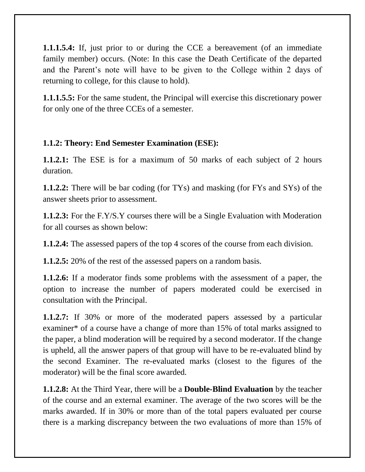**1.1.1.5.4:** If, just prior to or during the CCE a bereavement (of an immediate family member) occurs. (Note: In this case the Death Certificate of the departed and the Parent's note will have to be given to the College within 2 days of returning to college, for this clause to hold).

**1.1.1.5.5:** For the same student, the Principal will exercise this discretionary power for only one of the three CCEs of a semester.

#### **1.1.2: Theory: End Semester Examination (ESE):**

**1.1.2.1:** The ESE is for a maximum of 50 marks of each subject of 2 hours duration.

**1.1.2.2:** There will be bar coding (for TYs) and masking (for FYs and SYs) of the answer sheets prior to assessment.

**1.1.2.3:** For the F.Y/S.Y courses there will be a Single Evaluation with Moderation for all courses as shown below:

**1.1.2.4:** The assessed papers of the top 4 scores of the course from each division.

**1.1.2.5:** 20% of the rest of the assessed papers on a random basis.

**1.1.2.6:** If a moderator finds some problems with the assessment of a paper, the option to increase the number of papers moderated could be exercised in consultation with the Principal.

**1.1.2.7:** If 30% or more of the moderated papers assessed by a particular examiner\* of a course have a change of more than 15% of total marks assigned to the paper, a blind moderation will be required by a second moderator. If the change is upheld, all the answer papers of that group will have to be re-evaluated blind by the second Examiner. The re-evaluated marks (closest to the figures of the moderator) will be the final score awarded.

**1.1.2.8:** At the Third Year, there will be a **Double-Blind Evaluation** by the teacher of the course and an external examiner. The average of the two scores will be the marks awarded. If in 30% or more than of the total papers evaluated per course there is a marking discrepancy between the two evaluations of more than 15% of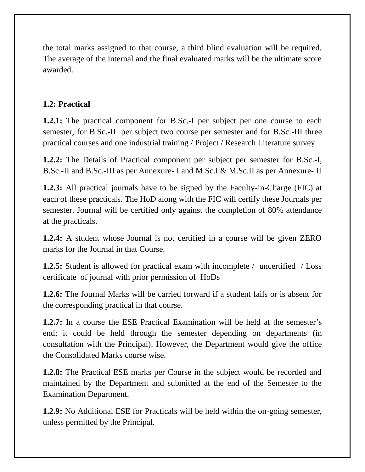the total marks assigned to that course, a third blind evaluation will be required. The average of the internal and the final evaluated marks will be the ultimate score awarded.

## **1.2: Practical**

**1.2.1:** The practical component for B.Sc.-I per subject per one course to each semester, for B.Sc.-II per subject two course per semester and for B.Sc.-III three practical courses and one industrial training / Project / Research Literature survey

**1.2.2:** The Details of Practical component per subject per semester for B.Sc.-I, B.Sc.-II and B.Sc.-III as per Annexure- I and M.Sc.I & M.Sc.II as per Annexure- II

**1.2.3:** All practical journals have to be signed by the Faculty-in-Charge (FIC) at each of these practicals. The HoD along with the FIC will certify these Journals per semester. Journal will be certified only against the completion of 80% attendance at the practicals.

**1.2.4:** A student whose Journal is not certified in a course will be given ZERO marks for the Journal in that Course.

**1.2.5:** Student is allowed for practical exam with incomplete / uncertified / Loss certificate of journal with prior permission of HoDs

**1.2.6:** The Journal Marks will be carried forward if a student fails or is absent for the corresponding practical in that course.

**1.2.7:** In a course **t**he ESE Practical Examination will be held at the semester's end; it could be held through the semester depending on departments (in consultation with the Principal). However, the Department would give the office the Consolidated Marks course wise.

**1.2.8:** The Practical ESE marks per Course in the subject would be recorded and maintained by the Department and submitted at the end of the Semester to the Examination Department.

**1.2.9:** No Additional ESE for Practicals will be held within the on-going semester, unless permitted by the Principal.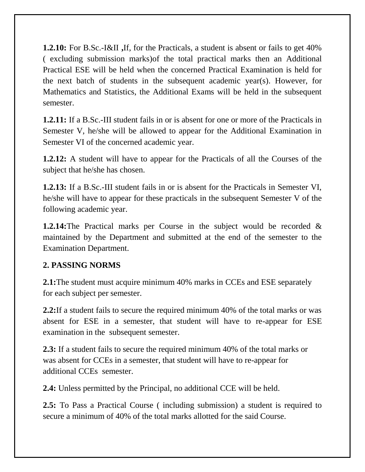**1.2.10:** For B.Sc.-I&II **,**If, for the Practicals, a student is absent or fails to get 40% ( excluding submission marks)of the total practical marks then an Additional Practical ESE will be held when the concerned Practical Examination is held for the next batch of students in the subsequent academic year(s). However, for Mathematics and Statistics, the Additional Exams will be held in the subsequent semester.

**1.2.11:** If a B.Sc.-III student fails in or is absent for one or more of the Practicals in Semester V, he/she will be allowed to appear for the Additional Examination in Semester VI of the concerned academic year.

**1.2.12:** A student will have to appear for the Practicals of all the Courses of the subject that he/she has chosen.

**1.2.13:** If a B.Sc.-III student fails in or is absent for the Practicals in Semester VI, he/she will have to appear for these practicals in the subsequent Semester V of the following academic year.

**1.2.14:**The Practical marks per Course in the subject would be recorded & maintained by the Department and submitted at the end of the semester to the Examination Department.

#### **2. PASSING NORMS**

**2.1:**The student must acquire minimum 40% marks in CCEs and ESE separately for each subject per semester.

**2.2:**If a student fails to secure the required minimum 40% of the total marks or was absent for ESE in a semester, that student will have to re-appear for ESE examination in the subsequent semester.

**2.3:** If a student fails to secure the required minimum 40% of the total marks or was absent for CCEs in a semester, that student will have to re-appear for additional CCEs semester.

**2.4:** Unless permitted by the Principal, no additional CCE will be held.

**2.5:** To Pass a Practical Course ( including submission) a student is required to secure a minimum of 40% of the total marks allotted for the said Course.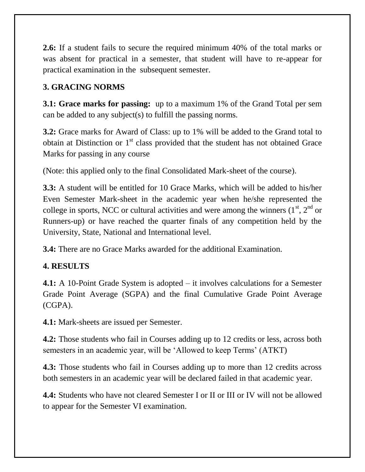**2.6:** If a student fails to secure the required minimum 40% of the total marks or was absent for practical in a semester, that student will have to re-appear for practical examination in the subsequent semester.

## **3. GRACING NORMS**

**3.1: Grace marks for passing:** up to a maximum 1% of the Grand Total per sem can be added to any subject(s) to fulfill the passing norms.

**3.2:** Grace marks for Award of Class: up to 1% will be added to the Grand total to obtain at Distinction or  $1<sup>st</sup>$  class provided that the student has not obtained Grace Marks for passing in any course

(Note: this applied only to the final Consolidated Mark-sheet of the course).

**3.3:** A student will be entitled for 10 Grace Marks, which will be added to his/her Even Semester Mark-sheet in the academic year when he/she represented the college in sports, NCC or cultural activities and were among the winners  $(1<sup>st</sup>, 2<sup>nd</sup>$  or Runners-up) or have reached the quarter finals of any competition held by the University, State, National and International level.

**3.4:** There are no Grace Marks awarded for the additional Examination.

## **4. RESULTS**

**4.1:** A 10-Point Grade System is adopted – it involves calculations for a Semester Grade Point Average (SGPA) and the final Cumulative Grade Point Average (CGPA).

**4.1:** Mark-sheets are issued per Semester.

**4.2:** Those students who fail in Courses adding up to 12 credits or less, across both semesters in an academic year, will be 'Allowed to keep Terms' (ATKT)

**4.3:** Those students who fail in Courses adding up to more than 12 credits across both semesters in an academic year will be declared failed in that academic year.

**4.4:** Students who have not cleared Semester I or II or III or IV will not be allowed to appear for the Semester VI examination.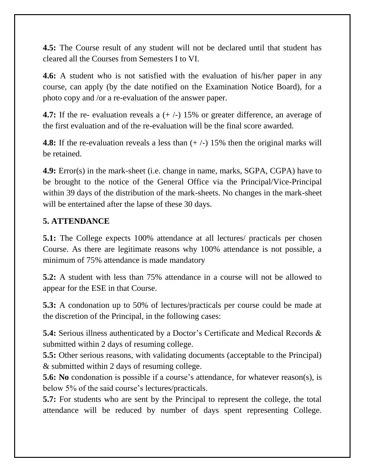**4.5:** The Course result of any student will not be declared until that student has cleared all the Courses from Semesters I to VI.

**4.6:** A student who is not satisfied with the evaluation of his/her paper in any course, can apply (by the date notified on the Examination Notice Board), for a photo copy and /or a re-evaluation of the answer paper.

**4.7:** If the re- evaluation reveals a  $(+/-)$  15% or greater difference, an average of the first evaluation and of the re-evaluation will be the final score awarded.

**4.8:** If the re-evaluation reveals a less than  $(+/-)$  15% then the original marks will be retained.

**4.9:** Error(s) in the mark-sheet (i.e. change in name, marks, SGPA, CGPA) have to be brought to the notice of the General Office via the Principal/Vice-Principal within 39 days of the distribution of the mark-sheets. No changes in the mark-sheet will be entertained after the lapse of these 30 days.

#### **5. ATTENDANCE**

**5.1:** The College expects 100% attendance at all lectures/ practicals per chosen Course. As there are legitimate reasons why 100% attendance is not possible, a minimum of 75% attendance is made mandatory

**5.2:** A student with less than 75% attendance in a course will not be allowed to appear for the ESE in that Course.

**5.3:** A condonation up to 50% of lectures/practicals per course could be made at the discretion of the Principal, in the following cases:

**5.4:** Serious illness authenticated by a Doctor's Certificate and Medical Records & submitted within 2 days of resuming college.

**5.5:** Other serious reasons, with validating documents (acceptable to the Principal) & submitted within 2 days of resuming college.

**5.6: No** condonation is possible if a course's attendance, for whatever reason(s), is below 5% of the said course's lectures/practicals.

**5.7:** For students who are sent by the Principal to represent the college, the total attendance will be reduced by number of days spent representing College.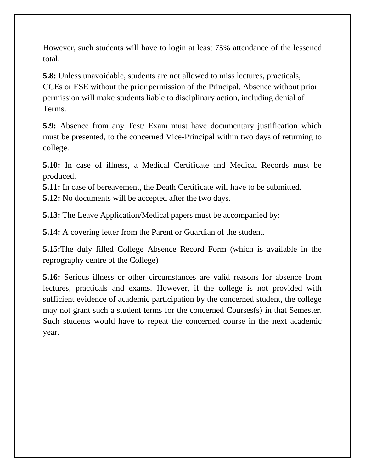However, such students will have to login at least 75% attendance of the lessened total.

**5.8:** Unless unavoidable, students are not allowed to miss lectures, practicals, CCEs or ESE without the prior permission of the Principal. Absence without prior permission will make students liable to disciplinary action, including denial of Terms.

**5.9:** Absence from any Test/ Exam must have documentary justification which must be presented, to the concerned Vice-Principal within two days of returning to college.

**5.10:** In case of illness, a Medical Certificate and Medical Records must be produced.

**5.11:** In case of bereavement, the Death Certificate will have to be submitted.

**5.12:** No documents will be accepted after the two days.

**5.13:** The Leave Application/Medical papers must be accompanied by:

**5.14:** A covering letter from the Parent or Guardian of the student.

**5.15:**The duly filled College Absence Record Form (which is available in the reprography centre of the College)

**5.16:** Serious illness or other circumstances are valid reasons for absence from lectures, practicals and exams. However, if the college is not provided with sufficient evidence of academic participation by the concerned student, the college may not grant such a student terms for the concerned Courses(s) in that Semester. Such students would have to repeat the concerned course in the next academic year.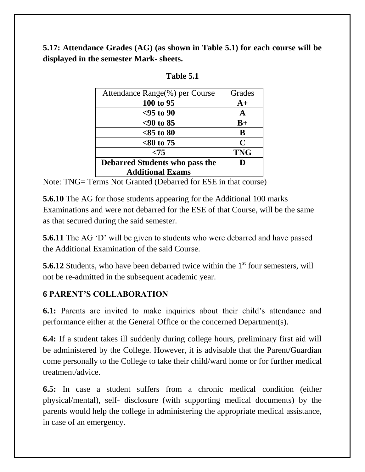**5.17: Attendance Grades (AG) (as shown in Table 5.1) for each course will be displayed in the semester Mark- sheets.** 

| Attendance Range(%) per Course        | Grades      |
|---------------------------------------|-------------|
| 100 to 95                             | $A+$        |
| $<$ 95 to 90                          | A           |
| $< 90$ to 85                          | $B+$        |
| $<85$ to 80                           | B           |
| $<80$ to 75                           | $\mathbf C$ |
| < 75                                  | <b>TNG</b>  |
| <b>Debarred Students who pass the</b> | D           |
| <b>Additional Exams</b>               |             |

Note: TNG= Terms Not Granted (Debarred for ESE in that course)

**5.6.10** The AG for those students appearing for the Additional 100 marks Examinations and were not debarred for the ESE of that Course, will be the same as that secured during the said semester.

**5.6.11** The AG 'D' will be given to students who were debarred and have passed the Additional Examination of the said Course.

**5.6.12** Students, who have been debarred twice within the 1<sup>st</sup> four semesters, will not be re-admitted in the subsequent academic year.

#### **6 PARENT'S COLLABORATION**

**6.1:** Parents are invited to make inquiries about their child's attendance and performance either at the General Office or the concerned Department(s).

**6.4:** If a student takes ill suddenly during college hours, preliminary first aid will be administered by the College. However, it is advisable that the Parent/Guardian come personally to the College to take their child/ward home or for further medical treatment/advice.

**6.5:** In case a student suffers from a chronic medical condition (either physical/mental), self- disclosure (with supporting medical documents) by the parents would help the college in administering the appropriate medical assistance, in case of an emergency.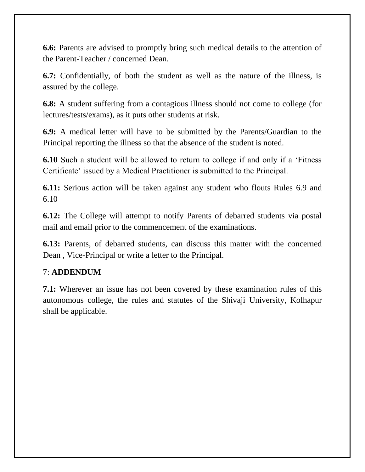**6.6:** Parents are advised to promptly bring such medical details to the attention of the Parent-Teacher / concerned Dean.

**6.7:** Confidentially, of both the student as well as the nature of the illness, is assured by the college.

**6.8:** A student suffering from a contagious illness should not come to college (for lectures/tests/exams), as it puts other students at risk.

**6.9:** A medical letter will have to be submitted by the Parents/Guardian to the Principal reporting the illness so that the absence of the student is noted.

**6.10** Such a student will be allowed to return to college if and only if a 'Fitness' Certificate' issued by a Medical Practitioner is submitted to the Principal.

**6.11:** Serious action will be taken against any student who flouts Rules 6.9 and 6.10

**6.12:** The College will attempt to notify Parents of debarred students via postal mail and email prior to the commencement of the examinations.

**6.13:** Parents, of debarred students, can discuss this matter with the concerned Dean , Vice-Principal or write a letter to the Principal.

#### 7: **ADDENDUM**

**7.1:** Wherever an issue has not been covered by these examination rules of this autonomous college, the rules and statutes of the Shivaji University, Kolhapur shall be applicable.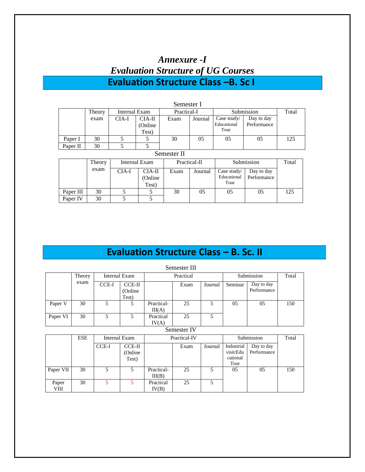| Annexure -I                                |
|--------------------------------------------|
| <b>Evaluation Structure of UG Courses</b>  |
| <b>Evaluation Structure Class -B. Sc I</b> |

|           |        |                      |                               | Semester I   |         |                                    |                           |     |  |  |
|-----------|--------|----------------------|-------------------------------|--------------|---------|------------------------------------|---------------------------|-----|--|--|
|           | Theory | <b>Internal Exam</b> |                               | Practical-I  |         | Submission                         | Total                     |     |  |  |
|           | exam   | CIA-I                | $CIA-II$<br>(Online)<br>Test) | Exam         | Journal | Case study/<br>Educational<br>Tour | Day to day<br>Performance |     |  |  |
| Paper I   | 30     | 5                    | 5                             | 30           | 05      | 05                                 | 05                        | 125 |  |  |
| Paper II  | 30     | 5                    | 5                             |              |         |                                    |                           |     |  |  |
|           |        |                      |                               | Semester II  |         |                                    |                           |     |  |  |
|           | Theory |                      | Internal Exam                 | Practical-II |         |                                    | Submission                |     |  |  |
|           | exam   | CIA-I                | CIA-II<br>(Online<br>Test)    | Exam         | Journal | Case study/<br>Educational<br>Tour | Day to day<br>Performance |     |  |  |
| Paper III | 30     | 5                    | 5                             | 30           | 05      | 05                                 | 05                        | 125 |  |  |
| Paper IV  | 30     | 5                    | 5                             |              |         |                                    |                           |     |  |  |

# **Evaluation Structure Class – B. Sc. II**

|          |        |       |                                    |                      | Semester III |         |         |                           |     |  |
|----------|--------|-------|------------------------------------|----------------------|--------------|---------|---------|---------------------------|-----|--|
|          | Theory |       | Internal Exam                      |                      | Practical    |         |         | Submission                |     |  |
|          | exam   | CCE-I | <b>CCE-II</b><br>(Online)<br>Test) |                      | Exam         | Journal | Seminar | Day to day<br>Performance |     |  |
| Paper V  | 30     | 5.    |                                    | Practical-<br>III(A) | 25           | 5       | 05      | 05                        | 150 |  |
| Paper VI | 30     | 5     |                                    | Practical<br>IV(A)   | 25           |         |         |                           |     |  |

Semester IV

|               | <b>ESE</b> | Internal Exam |                                    |                      | Practical-IV |         |                                             | Submission                | Total |
|---------------|------------|---------------|------------------------------------|----------------------|--------------|---------|---------------------------------------------|---------------------------|-------|
|               |            | CCE-I         | <b>CCE-II</b><br>(Online)<br>Test) |                      | Exam         | Journal | Industrial<br>visit/Edu<br>cational<br>Tour | Day to day<br>Performance |       |
| Paper VII     | 30         |               |                                    | Practical-<br>III(B) | 25           |         | 05                                          | 05                        | 150   |
| Paper<br>VIII | 30         |               |                                    | Practical<br>IV(B)   | 25           |         |                                             |                           |       |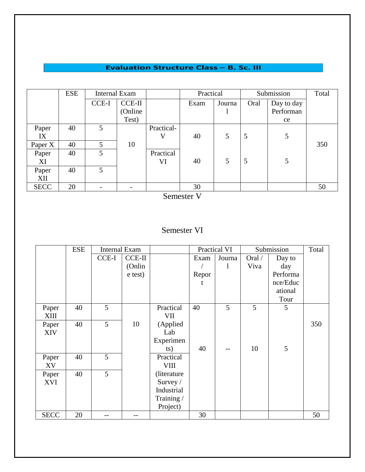#### **Evaluation Structure Class - B. Sc. III**

|             | <b>ESE</b> | <b>Internal Exam</b> |               |            | Practical |        |      | Submission | Total |
|-------------|------------|----------------------|---------------|------------|-----------|--------|------|------------|-------|
|             |            | CCE-I                | <b>CCE-II</b> |            | Exam      | Journa | Oral | Day to day |       |
|             |            |                      | (Online       |            |           |        |      | Performan  |       |
|             |            |                      | Test)         |            |           |        |      | ce         |       |
| Paper       | 40         | $\overline{5}$       |               | Practical- |           |        |      |            |       |
| IX          |            |                      |               | V          | 40        | 5      | 5    | 5          |       |
| Paper X     | 40         | 5                    | 10            |            |           |        |      |            | 350   |
| Paper       | 40         | $\mathfrak{S}$       |               | Practical  |           |        |      |            |       |
| XI          |            |                      |               | VI         | 40        | 5      | 5    | 5          |       |
| Paper       | 40         | $\mathfrak{S}$       |               |            |           |        |      |            |       |
| XII         |            |                      |               |            |           |        |      |            |       |
| <b>SECC</b> | 20         |                      |               |            | 30        |        |      |            | 50    |

Semester V

## Semester VI

|             | <b>ESE</b> | <b>Internal Exam</b> |          |              |       | Practical VI |        | Submission | Total |
|-------------|------------|----------------------|----------|--------------|-------|--------------|--------|------------|-------|
|             |            | CCE-I                | $CCE-II$ |              | Exam  | Journa       | Oral / | Day to     |       |
|             |            |                      | (Onlin   |              |       | 1            | Viva   | day        |       |
|             |            |                      | e test)  |              | Repor |              |        | Performa   |       |
|             |            |                      |          |              | t     |              |        | nce/Educ   |       |
|             |            |                      |          |              |       |              |        | ational    |       |
|             |            |                      |          |              |       |              |        | Tour       |       |
| Paper       | 40         | 5                    |          | Practical    | 40    | 5            | 5      | 5          |       |
| XIII        |            |                      |          | VII          |       |              |        |            |       |
| Paper       | 40         | 5                    | 10       | (Applied     |       |              |        |            | 350   |
| <b>XIV</b>  |            |                      |          | Lab          |       |              |        |            |       |
|             |            |                      |          | Experimen    |       |              |        |            |       |
|             |            |                      |          | ts)          | 40    |              | 10     | 5          |       |
| Paper       | 40         | 5                    |          | Practical    |       |              |        |            |       |
| XV          |            |                      |          | <b>VIII</b>  |       |              |        |            |       |
| Paper       | 40         | 5                    |          | (literature) |       |              |        |            |       |
| XVI         |            |                      |          | Survey $/$   |       |              |        |            |       |
|             |            |                      |          | Industrial   |       |              |        |            |       |
|             |            |                      |          | Training/    |       |              |        |            |       |
|             |            |                      |          | Project)     |       |              |        |            |       |
| <b>SECC</b> | 20         |                      |          |              | 30    |              |        |            | 50    |